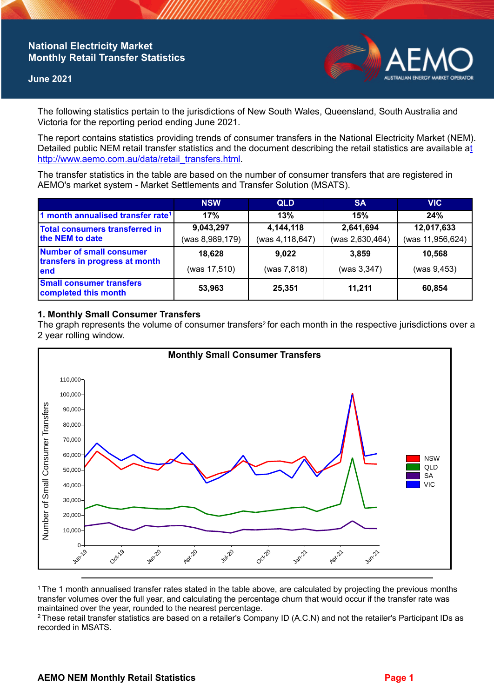## **National Electricity Market Monthly Retail Transfer Statistics**

#### **June 2021**



The following statistics pertain to the jurisdictions of New South Wales, Queensland, South Australia and Victoria for the reporting period ending June 2021.

The report contains statistics providing trends of consumer transfers in the National Electricity Market (NEM). Detailed public NEM retail transfer statistics and the document describing the retail statistics are available a[t](http://www.aemo.com.au/data/retail_transfers.html)  http://www.aemo.com.au/data/retail\_transfers.html

The transfer statistics in the table are based on the number of consumer transfers that are registered in AEMO's market system - Market Settlements and Transfer Solution (MSATS).

|                                                                    | <b>NSW</b>                   | <b>QLD</b>                   | <b>SA</b>                    | <b>VIC</b>                     |
|--------------------------------------------------------------------|------------------------------|------------------------------|------------------------------|--------------------------------|
| 1 month annualised transfer rate <sup>1</sup>                      | 17%                          | 13%                          | 15%                          | 24%                            |
| Total consumers transferred in<br>the NEM to date                  | 9,043,297<br>(was 8,989,179) | 4,144,118<br>(was 4,118,647) | 2,641,694<br>(was 2,630,464) | 12,017,633<br>(was 11,956,624) |
| Number of small consumer<br>transfers in progress at month<br>lend | 18,628<br>(was 17,510)       | 9,022<br>(was 7,818)         | 3.859<br>(was 3, 347)        | 10,568<br>(was 9,453)          |
| <b>Small consumer transfers</b><br>completed this month            | 53,963                       | 25,351                       | 11,211                       | 60,854                         |

## **1. Monthly Small Consumer Transfers**

The graph represents the volume of consumer transfers<sup>2</sup> for each month in the respective jurisdictions over a 2 year rolling window.



<sup>1</sup>The 1 month annualised transfer rates stated in the table above, are calculated by projecting the previous months transfer volumes over the full year, and calculating the percentage churn that would occur if the transfer rate was maintained over the year, rounded to the nearest percentage.

<sup>2</sup> These retail transfer statistics are based on a retailer's Company ID (A.C.N) and not the retailer's Participant IDs as recorded in MSATS.